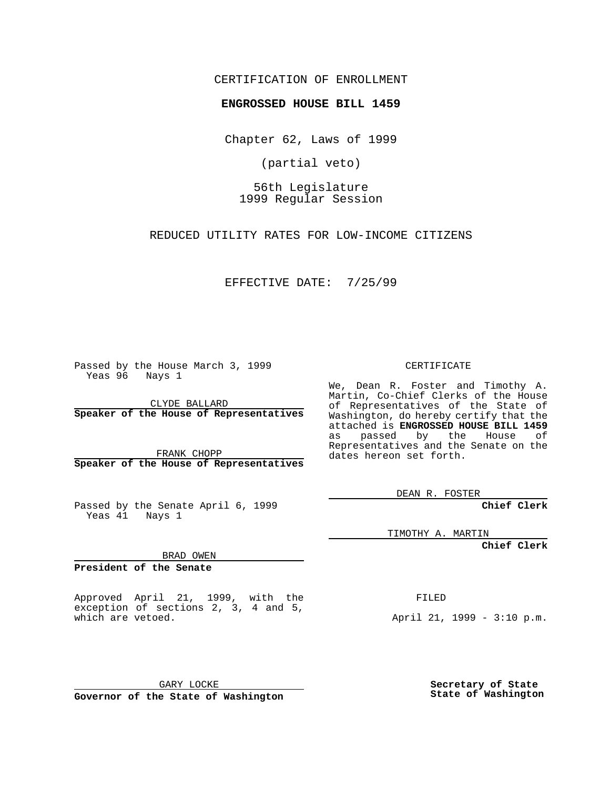## CERTIFICATION OF ENROLLMENT

## **ENGROSSED HOUSE BILL 1459**

Chapter 62, Laws of 1999

(partial veto)

56th Legislature 1999 Regular Session

REDUCED UTILITY RATES FOR LOW-INCOME CITIZENS

EFFECTIVE DATE: 7/25/99

Passed by the House March 3, 1999 Yeas 96 Nays 1

CLYDE BALLARD **Speaker of the House of Representatives**

FRANK CHOPP **Speaker of the House of Representatives**

Passed by the Senate April 6, 1999 Yeas 41 Nays 1

CERTIFICATE

We, Dean R. Foster and Timothy A. Martin, Co-Chief Clerks of the House of Representatives of the State of Washington, do hereby certify that the attached is **ENGROSSED HOUSE BILL 1459** as passed by the House of Representatives and the Senate on the dates hereon set forth.

DEAN R. FOSTER

**Chief Clerk**

TIMOTHY A. MARTIN

**Chief Clerk**

BRAD OWEN

**President of the Senate**

Approved April 21, 1999, with the exception of sections 2, 3, 4 and 5, which are vetoed.

FILED

April 21, 1999 - 3:10 p.m.

GARY LOCKE **Governor of the State of Washington**

**Secretary of State State of Washington**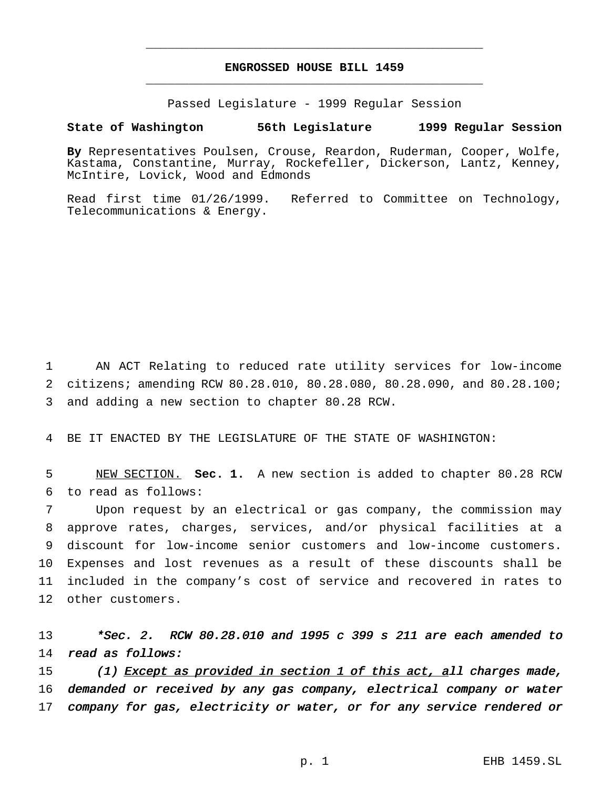## **ENGROSSED HOUSE BILL 1459** \_\_\_\_\_\_\_\_\_\_\_\_\_\_\_\_\_\_\_\_\_\_\_\_\_\_\_\_\_\_\_\_\_\_\_\_\_\_\_\_\_\_\_\_\_\_\_

\_\_\_\_\_\_\_\_\_\_\_\_\_\_\_\_\_\_\_\_\_\_\_\_\_\_\_\_\_\_\_\_\_\_\_\_\_\_\_\_\_\_\_\_\_\_\_

Passed Legislature - 1999 Regular Session

## **State of Washington 56th Legislature 1999 Regular Session**

**By** Representatives Poulsen, Crouse, Reardon, Ruderman, Cooper, Wolfe, Kastama, Constantine, Murray, Rockefeller, Dickerson, Lantz, Kenney, McIntire, Lovick, Wood and Edmonds

Read first time 01/26/1999. Referred to Committee on Technology, Telecommunications & Energy.

1 AN ACT Relating to reduced rate utility services for low-income 2 citizens; amending RCW 80.28.010, 80.28.080, 80.28.090, and 80.28.100; 3 and adding a new section to chapter 80.28 RCW.

4 BE IT ENACTED BY THE LEGISLATURE OF THE STATE OF WASHINGTON:

5 NEW SECTION. **Sec. 1.** A new section is added to chapter 80.28 RCW 6 to read as follows:

 Upon request by an electrical or gas company, the commission may approve rates, charges, services, and/or physical facilities at a discount for low-income senior customers and low-income customers. Expenses and lost revenues as a result of these discounts shall be included in the company's cost of service and recovered in rates to other customers.

13 \*Sec. 2. RCW 80.28.010 and 1995 c 399 s 211 are each amended to 14 read as follows:

15 (1) Except as provided in section 1 of this act, all charges made, 16 demanded or received by any gas company, electrical company or water 17 company for gas, electricity or water, or for any service rendered or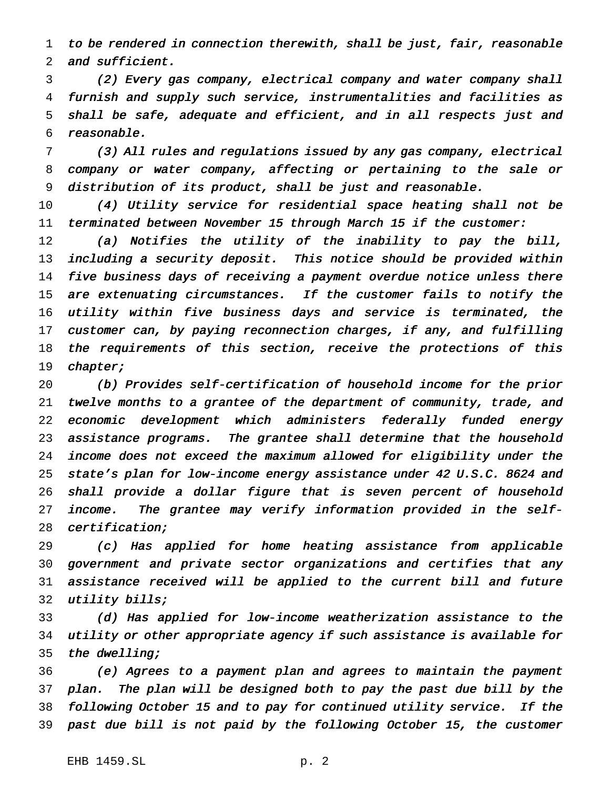to be rendered in connection therewith, shall be just, fair, reasonable and sufficient.

 (2) Every gas company, electrical company and water company shall furnish and supply such service, instrumentalities and facilities as shall be safe, adequate and efficient, and in all respects just and reasonable.

 (3) All rules and regulations issued by any gas company, electrical company or water company, affecting or pertaining to the sale or distribution of its product, shall be just and reasonable.

 (4) Utility service for residential space heating shall not be terminated between November <sup>15</sup> through March <sup>15</sup> if the customer:

 (a) Notifies the utility of the inability to pay the bill, including <sup>a</sup> security deposit. This notice should be provided within five business days of receiving <sup>a</sup> payment overdue notice unless there 15 are extenuating circumstances. If the customer fails to notify the utility within five business days and service is terminated, the customer can, by paying reconnection charges, if any, and fulfilling the requirements of this section, receive the protections of this chapter;

 (b) Provides self-certification of household income for the prior twelve months to <sup>a</sup> grantee of the department of community, trade, and economic development which administers federally funded energy assistance programs. The grantee shall determine that the household income does not exceed the maximum allowed for eligibility under the state's plan for low-income energy assistance under <sup>42</sup> U.S.C. <sup>8624</sup> and shall provide <sup>a</sup> dollar figure that is seven percent of household income. The grantee may verify information provided in the self-certification;

 (c) Has applied for home heating assistance from applicable government and private sector organizations and certifies that any assistance received will be applied to the current bill and future 32 utility bills;

 (d) Has applied for low-income weatherization assistance to the utility or other appropriate agency if such assistance is available for 35 the dwelling;

 (e) Agrees to <sup>a</sup> payment plan and agrees to maintain the payment plan. The plan will be designed both to pay the past due bill by the following October <sup>15</sup> and to pay for continued utility service. If the past due bill is not paid by the following October 15, the customer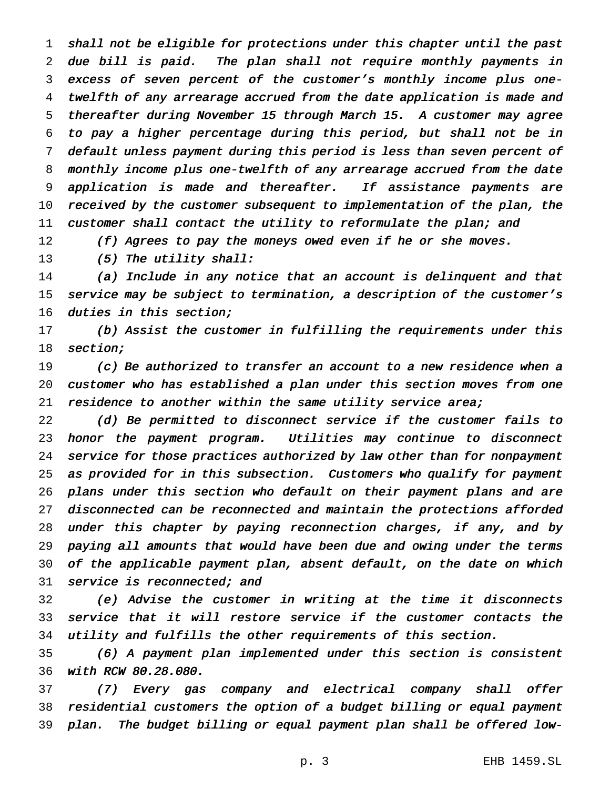shall not be eligible for protections under this chapter until the past due bill is paid. The plan shall not require monthly payments in excess of seven percent of the customer's monthly income plus one- twelfth of any arrearage accrued from the date application is made and thereafter during November <sup>15</sup> through March 15. <sup>A</sup> customer may agree to pay <sup>a</sup> higher percentage during this period, but shall not be in default unless payment during this period is less than seven percent of monthly income plus one-twelfth of any arrearage accrued from the date application is made and thereafter. If assistance payments are received by the customer subsequent to implementation of the plan, the 11 customer shall contact the utility to reformulate the plan; and

12 (f) Agrees to pay the moneys owed even if he or she moves.

13 (5) The utility shall:

 (a) Include in any notice that an account is delinquent and that service may be subject to termination, <sup>a</sup> description of the customer's duties in this section;

 (b) Assist the customer in fulfilling the requirements under this section;

 (c) Be authorized to transfer an account to <sup>a</sup> new residence when <sup>a</sup> customer who has established <sup>a</sup> plan under this section moves from one 21 residence to another within the same utility service area;

 (d) Be permitted to disconnect service if the customer fails to honor the payment program. Utilities may continue to disconnect service for those practices authorized by law other than for nonpayment as provided for in this subsection. Customers who qualify for payment plans under this section who default on their payment plans and are disconnected can be reconnected and maintain the protections afforded under this chapter by paying reconnection charges, if any, and by paying all amounts that would have been due and owing under the terms of the applicable payment plan, absent default, on the date on which 31 service is reconnected; and

 (e) Advise the customer in writing at the time it disconnects service that it will restore service if the customer contacts the utility and fulfills the other requirements of this section.

 (6) <sup>A</sup> payment plan implemented under this section is consistent with RCW 80.28.080.

 (7) Every gas company and electrical company shall offer residential customers the option of <sup>a</sup> budget billing or equal payment plan. The budget billing or equal payment plan shall be offered low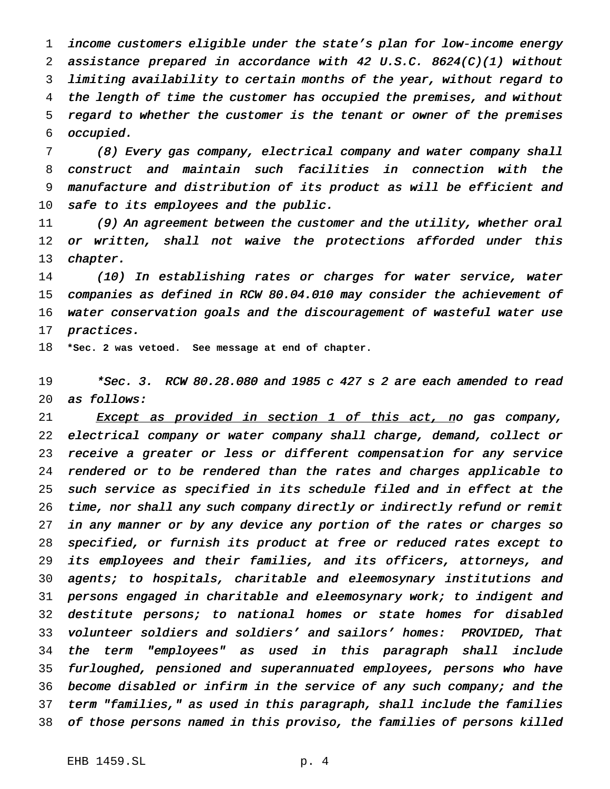income customers eligible under the state's plan for low-income energy assistance prepared in accordance with <sup>42</sup> U.S.C. 8624(C)(1) without limiting availability to certain months of the year, without regard to the length of time the customer has occupied the premises, and without regard to whether the customer is the tenant or owner of the premises occupied.

 (8) Every gas company, electrical company and water company shall construct and maintain such facilities in connection with the manufacture and distribution of its product as will be efficient and safe to its employees and the public.

11 (9) An agreement between the customer and the utility, whether oral or written, shall not waive the protections afforded under this chapter.

 (10) In establishing rates or charges for water service, water companies as defined in RCW 80.04.010 may consider the achievement of water conservation goals and the discouragement of wasteful water use practices.

**\*Sec. 2 was vetoed. See message at end of chapter.**

 \*Sec. 3. RCW 80.28.080 and <sup>1985</sup> <sup>c</sup> <sup>427</sup> <sup>s</sup> <sup>2</sup> are each amended to read as follows:

 Except as provided in section 1 of this act, no gas company, electrical company or water company shall charge, demand, collect or receive <sup>a</sup> greater or less or different compensation for any service rendered or to be rendered than the rates and charges applicable to such service as specified in its schedule filed and in effect at the time, nor shall any such company directly or indirectly refund or remit in any manner or by any device any portion of the rates or charges so specified, or furnish its product at free or reduced rates except to its employees and their families, and its officers, attorneys, and agents; to hospitals, charitable and eleemosynary institutions and persons engaged in charitable and eleemosynary work; to indigent and destitute persons; to national homes or state homes for disabled volunteer soldiers and soldiers' and sailors' homes: PROVIDED, That the term "employees" as used in this paragraph shall include furloughed, pensioned and superannuated employees, persons who have become disabled or infirm in the service of any such company; and the term "families," as used in this paragraph, shall include the families of those persons named in this proviso, the families of persons killed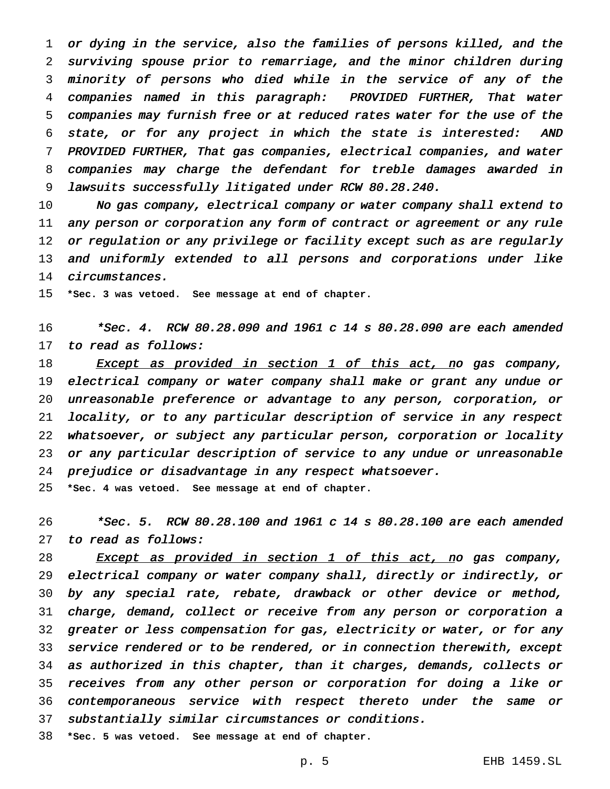or dying in the service, also the families of persons killed, and the surviving spouse prior to remarriage, and the minor children during minority of persons who died while in the service of any of the companies named in this paragraph: PROVIDED FURTHER, That water companies may furnish free or at reduced rates water for the use of the state, or for any project in which the state is interested: AND PROVIDED FURTHER, That gas companies, electrical companies, and water companies may charge the defendant for treble damages awarded in lawsuits successfully litigated under RCW 80.28.240.

 No gas company, electrical company or water company shall extend to 11 any person or corporation any form of contract or agreement or any rule 12 or regulation or any privilege or facility except such as are regularly 13 and uniformly extended to all persons and corporations under like circumstances.

**\*Sec. 3 was vetoed. See message at end of chapter.**

 \*Sec. 4. RCW 80.28.090 and <sup>1961</sup> <sup>c</sup> <sup>14</sup> <sup>s</sup> 80.28.090 are each amended 17 to read as follows:

18 Except as provided in section 1 of this act, no gas company, electrical company or water company shall make or grant any undue or unreasonable preference or advantage to any person, corporation, or locality, or to any particular description of service in any respect whatsoever, or subject any particular person, corporation or locality or any particular description of service to any undue or unreasonable prejudice or disadvantage in any respect whatsoever.

**\*Sec. 4 was vetoed. See message at end of chapter.**

 \*Sec. 5. RCW 80.28.100 and <sup>1961</sup> <sup>c</sup> <sup>14</sup> <sup>s</sup> 80.28.100 are each amended to read as follows:

28 Except as provided in section 1 of this act, no gas company, electrical company or water company shall, directly or indirectly, or by any special rate, rebate, drawback or other device or method, charge, demand, collect or receive from any person or corporation <sup>a</sup> greater or less compensation for gas, electricity or water, or for any service rendered or to be rendered, or in connection therewith, except as authorized in this chapter, than it charges, demands, collects or receives from any other person or corporation for doing <sup>a</sup> like or contemporaneous service with respect thereto under the same or substantially similar circumstances or conditions.

**\*Sec. 5 was vetoed. See message at end of chapter.**